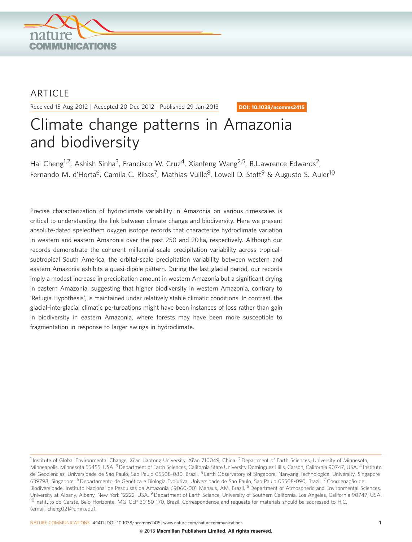

## **ARTICLE**

Received 15 Aug 2012 | Accepted 20 Dec 2012 | Published 29 Jan 2013

DOI: 10.1038/ncomms2415

# Climate change patterns in Amazonia and biodiversity

Hai Cheng<sup>1,2</sup>, Ashish Sinha<sup>3</sup>, Francisco W. Cruz<sup>4</sup>, Xianfeng Wang<sup>2,5</sup>, R.L.awrence Edwards<sup>2</sup>, Fernando M. d'Horta<sup>6</sup>, Camila C. Ribas<sup>7</sup>, Mathias Vuille<sup>8</sup>, Lowell D. Stott<sup>9</sup> & Augusto S. Auler<sup>10</sup>

Precise characterization of hydroclimate variability in Amazonia on various timescales is critical to understanding the link between climate change and biodiversity. Here we present absolute-dated speleothem oxygen isotope records that characterize hydroclimate variation in western and eastern Amazonia over the past 250 and 20 ka, respectively. Although our records demonstrate the coherent millennial-scale precipitation variability across tropical– subtropical South America, the orbital-scale precipitation variability between western and eastern Amazonia exhibits a quasi-dipole pattern. During the last glacial period, our records imply a modest increase in precipitation amount in western Amazonia but a significant drying in eastern Amazonia, suggesting that higher biodiversity in western Amazonia, contrary to 'Refugia Hypothesis', is maintained under relatively stable climatic conditions. In contrast, the glacial–interglacial climatic perturbations might have been instances of loss rather than gain in biodiversity in eastern Amazonia, where forests may have been more susceptible to fragmentation in response to larger swings in hydroclimate.

NATURE COMMUNICATIONS | 4:1411 | DOI: 10.1038/ncomms2415 | [www.nature.com/naturecommunications](http://www.nature.com/naturecommunications) 1

<sup>&</sup>lt;sup>1</sup> Institute of Global Environmental Change, Xi'an Jiaotong University, Xi'an 710049, China. <sup>2</sup> Department of Earth Sciences, University of Minnesota, Minneapolis, Minnesota 55455, USA. <sup>3</sup> Department of Earth Sciences, California State University Dominguez Hills, Carson, California 90747, USA. <sup>4</sup> Instituto de Geociencias, Universidade de Sao Paulo, Sao Paulo 05508-080, Brazil. <sup>5</sup> Earth Observatory of Singapore, Nanyang Technological University, Singapore 639798, Singapore. <sup>6</sup> Departamento de Genética e Biologia Evolutiva, Universidade de Sao Paulo, Sao Paulo 05508-090, Brazil. <sup>7</sup> Coordenação de Biodiversidade, Instituto Nacional de Pesquisas da Amazônia 69060-001 Manaus, AM, Brazil. <sup>8</sup> Department of Atmospheric and Environmental Sciences, University at Albany, Albany, New York 12222, USA. <sup>9</sup> Department of Earth Science, University of Southern California, Los Angeles, California 90747, USA. <sup>10</sup> Instituto do Carste, Belo Horizonte, MG-CEP 30150-170, Brazil. Correspondence and requests for materials should be addressed to H.C. (email: [cheng021@umn.edu\)](mailto:cheng021@umn.edu).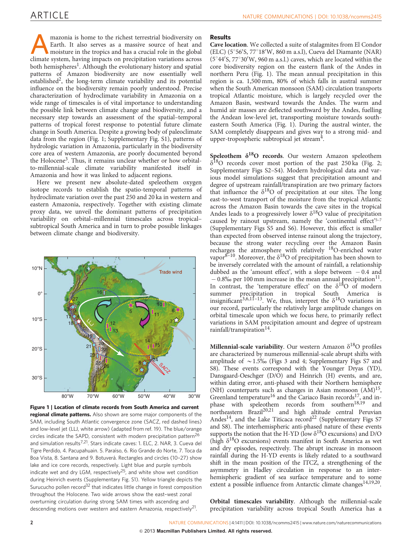<span id="page-1-0"></span>mazonia is home to the richest terrestrial biodiversity on<br>Earth. It also serves as a massive source of heat and<br>moisture in the tropics and has a crucial role in the global<br>climate system having impacts on precipitation v Earth. It also serves as a massive source of heat and climate system, having impacts on precipitation variations across both hemispheres<sup>[1](#page-4-0)</sup>. Although the evolutionary history and spatial patterns of Amazon biodiversity are now essentially well established<sup>[2](#page-4-0)</sup>, the long-term climate variability and its potential influence on the biodiversity remain poorly understood. Precise characterization of hydroclimate variability in Amazonia on a wide range of timescales is of vital importance to understanding the possible link between climate change and biodiversity, and a necessary step towards an assessment of the spatial–temporal patterns of tropical forest response to potential future climate change in South America. Despite a growing body of paleoclimate data from the region (Fig. 1; Supplementary Fig. S1), patterns of hydrologic variation in Amazonia, particularly in the biodiversity core area of western Amazonia, are poorly documented beyond the Holocene<sup>3</sup>. Thus, it remains unclear whether or how orbitalto-millennial-scale climate variability manifested itself in Amazonia and how it was linked to adjacent regions.

Here we present new absolute-dated speleothem oxygen isotope records to establish the spatio-temporal patterns of hydroclimate variation over the past 250 and 20 ka in western and eastern Amazonia, respectively. Together with existing climate proxy data, we unveil the dominant patterns of precipitation variability on orbital–millennial timescales across tropical– subtropical South America and in turn to probe possible linkages between climate change and biodiversity.



Figure 1 | Location of climate records from South America and current regional climate patterns. Also shown are some major components of the SAM, including South Atlantic convergence zone (SACZ, red dashed lines) and low-level jet (LLJ, white arrow) (adapted from [ref. 19\)](#page-4-0). The blue/orange circles indicate the SAPD, consistent with modern precipitation pattern<sup>[26](#page-5-0)</sup> and simulation results $7.21$ . Stars indicate caves: 1. ELC, 2. NAR, 3. Cueva del Tigre Perdido, 4. Pacupahuain. 5. Paraı´so, 6. Rio Grande do Norte, 7. Toca da Boa Vista, 8. Santana and 9. Botuverá. Rectangles and circles (10-27) show lake and ice core records, respectively. Light blue and purple symbols indicate wet and dry LGM, respectively<sup>[25](#page-5-0)</sup>, and white show wet condition during Heinrich events (Supplementary Fig. S1). Yellow triangle depicts the Surucucho pollen record<sup>[32](#page-5-0)</sup> that indicates little change in forest composition throughout the Holocene. Two wide arrows show the east–west zonal overturning circulation during strong SAM times with ascending and descending motions over western and eastern Amazonia, respectively<sup>[21](#page-5-0)</sup>.

#### Results

Cave location. We collected a suite of stalagmites from El Condor (ELC) (5°56'S, 77°18'W, 860 m a.s.l), Cueva del Diamante (NAR)  $(5°44'S, 77°30'W, 960 m a.s.l.)$  caves, which are located within the core biodiversity region on the eastern flank of the Andes in northern Peru (Fig. 1). The mean annual precipitation in this region is ca. 1,500 mm, 80% of which falls in austral summer when the South American monsoon (SAM) circulation transports tropical Atlantic moisture, which is largely recycled over the Amazon Basin, westward towards the Andes. The warm and humid air masses are deflected southward by the Andes, fuelling the Andean low-level jet, transporting moisture towards southeastern South America (Fig. 1). During the austral winter, the SAM completely disappears and gives way to a strong mid- and upper-tropospheric subtropical jet stream<sup>4</sup>.

Speleothem  $\delta^{18}O$  records. Our western Amazon speleothem  $\delta^{18}$ O records cover most portion of the past 250 ka [\(Fig. 2;](#page-2-0) Supplementary Figs S2–S4). Modern hydrological data and various model simulations suggest that precipitation amount and degree of upstream rainfall/transpiration are two primary factors that influence the  $\delta^{18}O$  of precipitation at our sites. The long east-to-west transport of the moisture from the tropical Atlantic across the Amazon Basin towards the cave sites in the tropical Andes leads to a progressively lower  $\delta^{18}O$  value of precipitation caused by rainout upstream, namely the 'continental effect'<sup>5-7</sup> (Supplementary Figs S5 and S6). However, this effect is smaller than expected from observed intense rainout along the trajectory, because the strong water recycling over the Amazon Basin recharges the atmosphere with relatively <sup>18</sup>O-enriched water vapor $8-10$ . Moreover, the  $\delta^{18}O$  of precipitation has been shown to be inversely correlated with the amount of rainfall, a relationship dubbed as the 'amount effect', with a slope between  $-0.4$  and  $-0.8%$  per 100 mm increase in the mean annual precipitation<sup>11</sup>. In contrast, the 'temperature effect' on the  $\delta^{18}O$  of modern summer precipitation in tropical South America is insignificant<sup>3,6,11-13</sup>. We, thus, interpret the  $\delta^{18}O$  variations in our record, particularly the relatively large amplitude changes on orbital timescale upon which we focus here, to primarily reflect variations in SAM precipitation amount and degree of upstream rainfall/transpiration $^{14}$ .

Millennial-scale variability. Our western Amazon  $\delta^{18}$ O profiles are characterized by numerous millennial-scale abrupt shifts with amplitude of  $\sim$  1.5% [\(Figs 3 and 4](#page-2-0); Supplementary Figs S7 and S8). These events correspond with the Younger Dryas (YD), Dansgaard-Oeschger (D/O) and Heinrich (H) events, and are, within dating error, anti-phased with their Northern hemisphere (NH) counterparts such as changes in Asian monsoon  $(AM)^{15}$ , Greenland temperature<sup>16</sup> and the Cariaco Basin records<sup>17</sup>, and in-phase with speleothem records from southern<sup>[18,19](#page-4-0)</sup> and northeastern Brazil<sup>20,21</sup> and high altitude central Peruvian Andes<sup>14</sup>, and the Lake Titicaca record<sup>[22](#page-5-0)</sup> (Supplementary Figs S7 and S8). The interhemispheric anti-phased nature of these events supports the notion that the H-YD (low  $\delta^{18}O$  excursions) and D/O (high  $\delta^{18}O$  excursions) events manifest in South America as wet and dry episodes, respectively. The abrupt increase in monsoon rainfall during the H-YD events is likely related to a southward shift in the mean position of the ITCZ, a strengthening of the asymmetry in Hadley circulation in response to an interhemispheric gradient of sea surface temperature and to some extent a possible influence from Antarctic climate changes<sup>[14,19,20](#page-4-0)</sup>.

Orbital timescales variability. Although the millennial-scale precipitation variability across tropical South America has a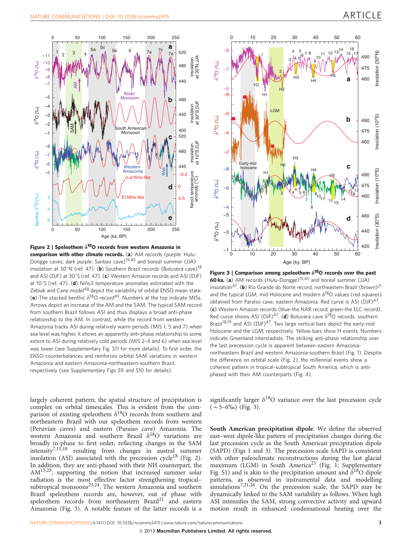<span id="page-2-0"></span>

Figure 2 | Speleothem  $\delta^{18}$ O records from western Amazonia in comparison with other climate records. (a) AM records (purple: Hulu-Dongge caves; dark purple: Sanbao cave)[15,45](#page-4-0) and boreal summer (JJA) insolation at 30°N (ref. 47). (b) Southern Brazil records (Botuverá cave)<sup>[18](#page-4-0)</sup> and ASI [\(](#page-5-0)DJF) at  $30^{\circ}$ S (ref. 47). (c) Western Amazon records and ASI (DJF) at  $10^{\circ}$ [S](#page-5-0) [\(](#page-5-0)ref. 47). (d) Niño3 temperature anomalies estimated with the Zebiak and Cane model<sup>48</sup> depict the variability of orbital ENSO mean state. (e) The stacked benthic  $\delta^{18}O$  record<sup>49</sup>. Numbers at the top indicate MISs. Arrows depict an increase of the AM and the SAM. The typical SAM record from southern Brazil follows ASI and thus displays a broad anti-phase relationship to the AM. In contrast, while the record from western Amazonia tracks ASI during relatively warm periods (MIS 1, 5 and 7) when sea level was higher, it shows an apparently anti-phase relationship to some extent to ASI during relatively cold periods (MIS 2–4 and 6) when sea level was lower (see Supplementary Fig. S11 for more details). To first order, the ENSO counterbalances and reinforces orbital SAM variations in western Amazonia and eastern Amazonia-northeastern-southern Brazil, respectively (see Supplementary Figs S9 and S10 for details).

largely coherent pattern; the spatial structure of precipitation is complex on orbital timescales. This is evident from the comparison of existing speleothem  $\delta^{18}O$  records from southern and northeastern Brazil with our speleothem records from western (Peruvian caves) and eastern (Paraı´so cave) Amazonia. The western Amazonia and southern Brazil  $\delta^{18}O$  variations are broadly in-phase to first order, reflecting changes in the SAM intensity[7,11,18](#page-4-0) resulting from changes in austral summer insolation (ASI) associated with the precession cycle<sup>[18](#page-4-0)</sup> (Fig. 2). In addition, they are anti-phased with their NH counterpart, the A[M15,23,](#page-4-0) supporting the notion that increased summer solar radiation is the most effective factor strengthening tropicalsubtropical monsoons<sup>23,24</sup>. The western Amazonia and southern Brazil speleothem records are, however, out of phase with speleothem records from northeastern Brazil<sup>[21](#page-5-0)</sup> and eastern Amazonia (Fig. 3). A notable feature of the latter records is a



Figure 3 | Comparison among speleothem  $\delta^{18}$ O records over the past 60 ka. (a) AM records (Hulu-Dongge)<sup>[15,45](#page-4-0)</sup> and boreal summer (JJA) insolation<sup>47</sup>. (b) Rio Grande do Norte record, northeastern Brazil (brown)<sup>21</sup> and the typical LGM, mid Holocene and modern  $\delta^{18}$ O values (red squares) obtained from Paraíso cave, eastern Amazonia. Red curve is ASI (DJF)<sup>47</sup>. (c) Western Amazon records (blue-the NAR record, green-the ELC record). Red curve shows ASI (DJF)<sup>47</sup>. (d) Botuverá cave  $\delta^{18}O$  records, southern Brazil<sup>[18,19](#page-4-0)</sup> and ASI (DJF)<sup>47</sup>. Two large vertical bars depict the early-mid Holocene and the LGM, respectively. Yellow bars show H events. Numbers indicate Greenland interstadials. The striking anti-phase relationship over the last precession cycle is apparent between eastern Amazonianortheastern Brazil and western Amazonia-southern Brazil ([Fig. 1](#page-1-0)). Despite the difference on orbital scale (Fig. 2), the millennial events show a coherent pattern in tropical–subtropical South America, which is antiphased with their AM counterparts ([Fig. 4](#page-3-0)).

significantly larger  $\delta^{18}O$  variance over the last precession cycle  $(\sim 5-6\%)$  (Fig. 3).

South American precipitation dipole. We define the observed east–west dipole-like pattern of precipitation changes during the last precession cycle as the South American precipitation dipole (SAPD) ([Figs 1 and 3\)](#page-1-0). The precession-scale SAPD is consistent with other paleoclimate reconstructions during the last glacial maximum (LGM) in South America<sup>[25](#page-5-0)</sup> ([Fig. 1;](#page-1-0) Supplementary Fig. S1) and is akin to the precipitation amount and  $\delta^{18}O$  dipole patterns, as observed in instrumental data and modelling simulations<sup>7,21,26</sup>. On the precession scale, the SAPD may be dynamically linked to the SAM variability as follows. When high ASI intensifies the SAM, strong convective activity and upward motion result in enhanced condensational heating over the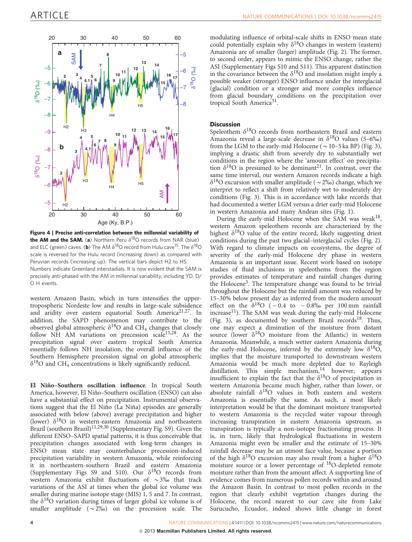<span id="page-3-0"></span>

Figure 4 | Precise anti-correlation between the millennial variability of the AM and the SAM. (a) Northern Peru  $\delta^{18}O$  records from NAR (blue) and ELC (green) caves. (**b**) The AM  $\delta^{18}O$  record from Hulu cave<sup>15</sup>. The  $\delta^{18}O$ scale is reversed for the Hulu record (increasing down) as compared with Peruvian records (increasing up). The vertical bars depict H2 to H5. Numbers indicate Greenland interstadials. It is now evident that the SAM is precisely anti-phased with the AM in millennial variability, including YD, D/ O H events.

western Amazon Basin, which in turn intensifies the uppertropospheric Nordeste low and results in large-scale subsidence and aridity over eastern equatorial South America<sup>21,27</sup>. In addition, the SAPD phenomenon may contribute to the observed global atmospheric  $\delta^{18}O$  and CH<sub>4</sub> changes that closely follow NH AM variations on precession scale<sup>15,28</sup>. As the precipitation signal over eastern tropical South America essentially follows NH insolation, the overall influence of the Southern Hemisphere precession signal on global atmospheric  $\delta^{18}$ O and CH<sub>4</sub> concentrations is likely significantly reduced.

El Niño-Southern oscillation influence. In tropical South America, however, El Niño-Southern oscillation (ENSO) can also have a substantial effect on precipitation. Instrumental observations suggest that the El Niño (La Niña) episodes are generally associated with below (above) average precipitation and higher (lower)  $\delta^{18}$ O in western-eastern Amazonia and northeastern Brazil (southern Brazil)<sup>[11,29,30](#page-4-0)</sup> (Supplementary Fig. S9). Given the different ENSO–SAPD spatial patterns, it is thus conceivable that precipitation changes associated with long-term changes in ENSO mean state may counterbalance precession-induced precipitation variability in western Amazonia, while reinforcing it in northeastern-southern Brazil and eastern Amazonia (Supplementary Figs S9 and S10). Our  $\delta^{18}O$  records from western Amazonia exhibit fluctuations of  $\sim 3\%$  that track variations of the ASI at times when the global ice volume was smaller during marine isotope stage (MIS) 1, 5 and 7. In contrast, the  $\delta^{18}$ O variation during times of larger global ice volume is of smaller amplitude  $({\sim}2\%)$  on the precession scale. The

modulating influence of orbital-scale shifts in ENSO mean state could potentially explain why  $\delta^{18}O$  changes in western (eastern) Amazonia are of smaller (larger) amplitude [\(Fig. 2\)](#page-2-0). The former, to second order, appears to mimic the ENSO change, rather the ASI (Supplementary Figs S10 and S11). This apparent distinction in the covariance between the  $\delta^{18}O$  and insolation might imply a possible weaker (stronger) ENSO influence under the interglacial (glacial) condition or a stronger and more complex influence from glacial boundary conditions on the precipitation over tropical South America<sup>[31](#page-5-0)</sup>.

### **Discussion**

Speleothem  $\delta^{18}O$  records from northeastern Brazil and eastern Amazonia reveal a large-scale decrease in  $\delta^{18}$ O values (5–6‰) from the LGM to the early-mid Holocene ( $\sim$  10–5 ka BP) ([Fig. 3](#page-2-0)), implying a drastic shift from severely dry to substantially wet conditions in the region where the 'amount effect' on precipitation  $\delta^{18}$ O is presumed to be dominant<sup>21</sup>. In contrast, over the same time interval, our western Amazon records indicate a high  $\delta^{18}$ O excursion with smaller amplitude ( $\sim$ 2\%) change, which we interpret to reflect a shift from relatively wet to moderately dry conditions [\(Fig. 3\)](#page-2-0). This is in accordance with lake records that had documented a wetter LGM versus a drier early-mid Holocene in western Amazonia and many Andean sites ([Fig. 1](#page-1-0)).

During the early-mid Holocene when the SAM was weak<sup>18</sup>, western Amazon speleothem records are characterized by the highest  $\delta^{18}O$  value of the entire record, likely suggesting driest conditions during the past two glacial–interglacial cycles [\(Fig. 2](#page-2-0)). With regard to climate impacts on ecosystems, the degree of severity of the early-mid Holocene dry phase in western Amazonia is an important issue. Recent work based on isotope studies of fluid inclusions in speleothems from the region provides estimates of temperature and rainfall changes during the Holocene<sup>3</sup>. The temperature change was found to be trivial throughout the Holocene but the rainfall amount was reduced by 15–30% below present day as inferred from the modern amount effect on the  $\delta^{18}O$  (-0.4 to -0.8% per 100 mm rainfall increase<sup>[11](#page-4-0)</sup>). The SAM was weak during the early-mid Holocene ([Fig. 3\)](#page-2-0), as documented by southern Brazil records<sup>18</sup>. Thus, one may expect a diminution of the moisture from distant source (lower  $\delta^{18}O$  moisture from the Atlantic) in western Amazonia. Meanwhile, a much wetter eastern Amazonia during the early-mid Holocene, inferred by the extremely low  $\delta^{18}O$ , implies that the moisture transported to downstream western Amazonia would be much more depleted due to Rayleigh distillation. This simple mechanism,<sup>[14](#page-4-0)</sup> however, appears insufficient to explain the fact that the  $\delta^{18}O$  of precipitation in western Amazonia became much higher, rather than lower, or absolute rainfall  $\delta^{18}O$  values in both eastern and western Amazonia is essentially the same. As such, a most likely interpretation would be that the dominant moisture transported to western Amazonia is the recycled water vapour through increasing transpiration in eastern Amazonia upstream, as transpiration is typically a non-isotope fractionating process. It is, in turn, likely that hydrological fluctuations in western Amazonia might even be smaller and the estimate of 15–30% rainfall decrease may be an utmost face value, because a portion of the high  $\delta^{18}$ O excursion may also result from a higher  $\delta^{18}$ O moisture source or a lower percentage of 18O-depleted remote moisture rather than from the amount affect. A supporting line of evidence comes from numerous pollen records within and around the Amazon Basin. In contrast to most pollen records in the region that clearly exhibit vegetation changes during the Holocene, the record nearest to our cave site from Lake Surucucho, Ecuador, indeed shows little change in forest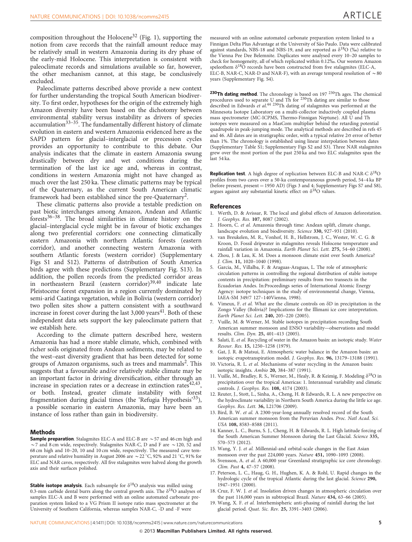<span id="page-4-0"></span>composition throughout the Holocene<sup>[32](#page-5-0)</sup> [\(Fig. 1\)](#page-1-0), supporting the notion from cave records that the rainfall amount reduce may be relatively small in western Amazonia during its dry phase of the early-mid Holocene. This interpretation is consistent with paleoclimate records and simulations available so far, however, the other mechanism cannot, at this stage, be conclusively excluded.

Paleoclimate patterns described above provide a new context for further understanding the tropical South American biodiversity. To first order, hypotheses for the origin of the extremely high Amazon diversity have been based on the dichotomy between environmental stability versus instability as drivers of species accumulation<sup>[33–35](#page-5-0)</sup>. The fundamentally different history of climate evolution in eastern and western Amazonia evidenced here as the SAPD pattern for glacial–interglacial or precession cycles provides an opportunity to contribute to this debate. Our analysis indicates that the climate in eastern Amazonia swung drastically between dry and wet conditions during the termination of the last ice age and, whereas in contrast, conditions in western Amazonia might not have changed as much over the last 250 ka. These climatic patterns may be typical of the Quaternary, as the current South American climatic framework had been established since the pre-Quaternary<sup>2</sup>.

These climatic patterns also provide a testable prediction on past biotic interchanges among Amazon, Andean and Atlantic forest[s36–38.](#page-5-0) The broad similarities in climate history on the glacial–interglacial cycle might be in favour of biotic exchanges along two preferential corridors: one connecting climatically eastern Amazonia with northern Atlantic forests (eastern corridor), and another connecting western Amazonia with southern Atlantic forests (western corridor) (Supplementary Figs S1 and S12). Patterns of distribution of South America birds agree with these predictions (Supplementary Fig. S13). In addition, the pollen records from the predicted corridor areas in northeastern Brazil (eastern corridor)<sup>[39,40](#page-5-0)</sup> indicate late Pleistocene forest expansion in a region currently dominated by semi-arid Caatinga vegetation, while in Bolivia (western corridor) two pollen sites show a pattern consistent with a southward increase in forest cover during the last  $3,000$  years<sup>41</sup>. Both of these independent data sets support the key paleoclimate pattern that we establish here.

According to the climate pattern described here, western Amazonia has had a more stable climate, which, combined with richer soils originated from Andean sediments, may be related to the west–east diversity gradient that has been detected for some groups of Amazon organisms, such as trees and mammals<sup>2</sup>. This suggests that a favourable and/or relatively stable climate may be an important factor in driving diversification, either through an increase in speciation rates or a decrease in extinction rates $42,43$ , or both. Instead, greater climate instability with forest fragmentation during glacial times (the 'Refugia Hypothesis'[33](#page-5-0)), a possible scenario in eastern Amazonia, may have been an instance of loss rather than gain in biodiversity.

#### Methods

**Sample preparation**. Stalagmites ELC-A and ELC-B are  $\sim$  57 and 46 cm high and  $\sim$  7 and 8 cm wide, respectively. Stalagmites NAR-C, D and F are  $\sim$  120, 52 and 68 cm high and 10–20, 10 and 10 cm wide, respectively. The measured cave temperature and relative humidity in August 2006 are  $\sim$  22 °C, 92% and 21 °C, 91% for ELC and NAR caves, respectively. All five stalagmites were halved along the growth axis and their surfaces polished.

**Stable isotope analysis**. Each subsample for  $\delta^{18}O$  analysis was milled using 0.3-mm carbide dental burrs along the central growth axis. The  $\delta^{18}O$  analyses of samples ELC-A and B were performed with an online automated carbonate preparation system linked to a VG Prism II isotope ratio mass spectrometer at the University of Southern California, whereas samples NAR-C, -D and -F were

measured with an online automated carbonate preparation system linked to a Finnigan Delta Plus Advantage at the University of São Paulo. Data were calibrated against standards, NBS-18 and NBS-19, and are reported as  $\delta^{18}O$  (‰) relative to the Vienna Pee Dee Belemnite. Duplicates were analysed every 10–20 samples to check for homogeneity, all of which replicated within 0.12%. Our western Amazon speleothem  $\delta^{18}O$  records have been constructed from five stalagmites (ELC-A, ELC-B, NAR-C, NAR-D and NAR-F), with an average temporal resolution of  $\sim$  80 years (Supplementary Fig. S4).

**230Th dating method**. The chronology is based on 197  $^{230}$ Th ages. The chemical procedures used to separate U and Th for  $^{230}$ Th dating are similar to those described in Edwards et al.<sup>[44](#page-5-0) 230</sup>Th dating of stalagmites was performed at the Minnesota Isotope Laboratory on a multi-collector inductively coupled plasma mass spectrometer (MC-ICPMS, Thermo-Finnigan Neptune). All U and Th isotopes were measured on a MasCom multiplier behind the retarding potential quadrupole in peak-jumping mode. The analytical methods are described in [refs 45](#page-5-0) [and 46.](#page-5-0) All dates are in stratigraphic order, with a typical relative  $2\sigma$  error of better than 1%. The chronology is established using linear interpolation between dates (Supplementary Table S1; Supplementary Figs S2 and S3). Three NAR stalagmites grew over the most portion of the past 250 ka and two ELC stalagmites span the last 54 ka.

**Replication test**. A high degree of replication between ELC-B and NAR-C  $\delta^{18}O$ profiles from two caves over a 50-ka contemporaneous growth period, 54–4 ka BP (before present, present = 1950 AD) ([Figs 3 and 4](#page-2-0); Supplementary Figs S7 and S8), argues against any substantial kinetic effect on  $\delta^{18}O$  values.

#### References

- 1. Werth, D. & Avissar, R. The local and global effects of Amazon deforestation. J. Geophys. Res. 107, 8087 (2002).
- 2. Hoorn, C. et al. Amazonia through time: Andean uplift, climate change, landscape evolution and biodiversity. Science 330, 927–931 (2010).
- 3. van Breukelen, M. R., Vonhof, H. B., Hellstrom, J. C., Wester, W. C. G. & Kroon, D. Fossil dripwater in stalagmites reveals Holocene temperature and rainfall variation in Amazonia. Earth Planet Sci. Lett. 275, 54–60 (2008).
- 4. Zhou, J. & Lau, K. M. Does a monsoon climate exist over South America? J. Clim. 11, 1020–1040 (1998).
- 5. Garcia, M., Villalba, F. & Araguas-Araguas, L. The role of atmospheric circulation patterns in controlling the regional distribution of stable isotope contents in precipitation: preliminary results from two transects in the Ecuadorian Andes. In:Proceedings series of International Atomic Energy Agency: isotope techniques in the study of environmental change, Vienna, IAEA-SM 349/7 127–140Vienna, 1998).
- 6. Vimeux, F. et al. What are the climate controls on  $\delta$ D in precipitation in the Zongo Valley (Bolivia)? Implications for the Illimani ice core interpretation. Earth Planet Sci. Lett. 240, 205–220 (2005).
- 7. Vuille, M. & Werner, M. Stable isotopes in precipitation recording South American summer monsoon and ENSO variability—observations and model results. Clim. Dyn. 25, 401–413 (2005).
- 8. Salati, E. et al. Recycling of water in the Amazon basin: an isotopic study. Water Resour. Res. 15, 1250–1258 (1979).
- 9. Gat, J. R. & Matsui, E. Atmospheric water balance in the Amazon basin: an isotopic evapotranspiration model. J. Geophys. Res. 96, 13179–13188 (1991).
- 10. Victoria, R. L. et al. Mechanisms of water recycling in the Amazon basin: isotopic insights. Ambio 20, 384–387 (1991).
- 11. Vuille, M., Bradley, R. S., Werner, M., Healy, R. & Keimig, F. Modeling  $\delta^{18}O$  in precipitation over the tropical Americas: 1. Interannual variability and climatic controls. J. Geophys. Res. 108, 4174 (2003).
- 12. Reuter, J., Stott, L., Sinha, A., Cheng, H. & Edwards, R. L. A new perspective on the hydroclimate variability in Northern South America during the little ice age. Geophys. Res. Lett. 36, L21706 (2009).
- 13. Bird, B. W. et al. A 2300-year-long annually resolved record of the South American summer monsoon from the Peruvian Andes. Proc. Natl Acad. Sci. USA 108, 8583–8588 (2011).
- 14. Kanner, L. C., Burns, S. J., Cheng, H. & Edwards, R. L. High latitude forcing of the South American Summer Monsoon during the Last Glacial. Science 335, 570–573 (2012).
- 15. Wang, Y. J. et al. Millennial-and orbital-scale changes in the East Asian monsoon over the past 224,000 years. Nature 451, 1090–1093 (2008).
- 16. Svensson, A. et al. A 60,000 year Greenland stratigraphic ice core chronology. Clim. Past 4, 47–57 (2008).
- 17. Peterson, L. C., Haug, G. H., Hughen, K. A. & Rohl, U. Rapid changes in the hydrologic cycle of the tropical Atlantic during the last glacial. Science 290, 1947–1951 (2000).
- 18. Cruz, F. W. J. et al. Insolation driven changes in atmospheric circulation over the past 116,000 years in subtropical Brazil. Nature 434, 63–66 (2005).
- 19. Wang, X. F. et al. Interhemispheric anti-phasing of rainfall during the last glacial period. Quat. Sic. Rev. 25, 3391–3403 (2006).